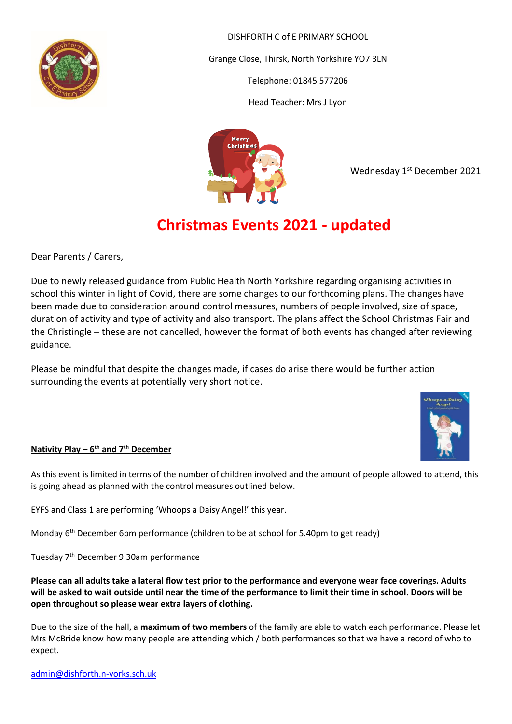

DISHFORTH C of E PRIMARY SCHOOL

Grange Close, Thirsk, North Yorkshire YO7 3LN

Telephone: 01845 577206

Head Teacher: Mrs J Lyon



Wednesday 1<sup>st</sup> December 2021

# **Christmas Events 2021 - updated**

Dear Parents / Carers,

Due to newly released guidance from Public Health North Yorkshire regarding organising activities in school this winter in light of Covid, there are some changes to our forthcoming plans. The changes have been made due to consideration around control measures, numbers of people involved, size of space, duration of activity and type of activity and also transport. The plans affect the School Christmas Fair and the Christingle – these are not cancelled, however the format of both events has changed after reviewing guidance.

Please be mindful that despite the changes made, if cases do arise there would be further action surrounding the events at potentially very short notice.



## **Nativity Play – 6 th and 7th December**

As this event is limited in terms of the number of children involved and the amount of people allowed to attend, this is going ahead as planned with the control measures outlined below.

EYFS and Class 1 are performing 'Whoops a Daisy Angel!' this year.

Monday 6<sup>th</sup> December 6pm performance (children to be at school for 5.40pm to get ready)

Tuesday 7th December 9.30am performance

**Please can all adults take a lateral flow test prior to the performance and everyone wear face coverings. Adults will be asked to wait outside until near the time of the performance to limit their time in school. Doors will be open throughout so please wear extra layers of clothing.**

Due to the size of the hall, a **maximum of two members** of the family are able to watch each performance. Please let Mrs McBride know how many people are attending which / both performances so that we have a record of who to expect.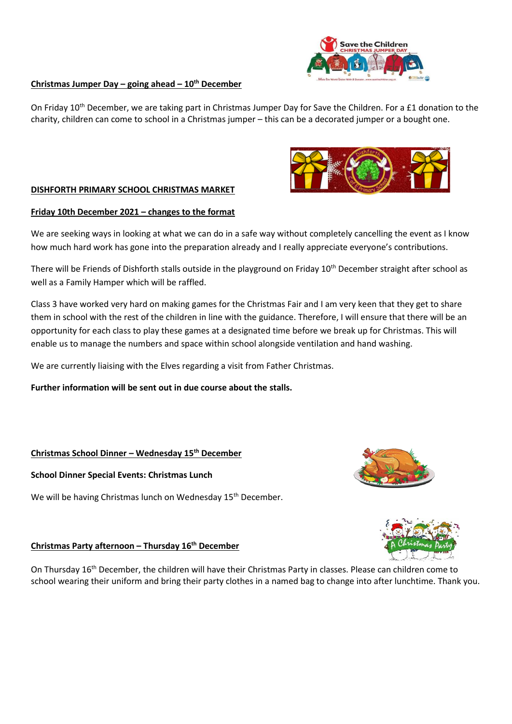# ave the Childrer

#### **Christmas Jumper Day – going ahead – 10th December**

On Friday 10<sup>th</sup> December, we are taking part in Christmas Jumper Day for Save the Children. For a £1 donation to the charity, children can come to school in a Christmas jumper – this can be a decorated jumper or a bought one.

#### **DISHFORTH PRIMARY SCHOOL CHRISTMAS MARKET**

#### **Friday 10th December 2021 – changes to the format**

We are seeking ways in looking at what we can do in a safe way without completely cancelling the event as I know how much hard work has gone into the preparation already and I really appreciate everyone's contributions.

There will be Friends of Dishforth stalls outside in the playground on Friday  $10^{th}$  December straight after school as well as a Family Hamper which will be raffled.

Class 3 have worked very hard on making games for the Christmas Fair and I am very keen that they get to share them in school with the rest of the children in line with the guidance. Therefore, I will ensure that there will be an opportunity for each class to play these games at a designated time before we break up for Christmas. This will enable us to manage the numbers and space within school alongside ventilation and hand washing.

We are currently liaising with the Elves regarding a visit from Father Christmas.

**Further information will be sent out in due course about the stalls.**

#### **Christmas School Dinner – Wednesday 15th December**

**School Dinner Special Events: Christmas Lunch** 

We will be having Christmas lunch on Wednesday 15<sup>th</sup> December.

#### **Christmas Party afternoon – Thursday 16th December**

On Thursday 16th December, the children will have their Christmas Party in classes. Please can children come to school wearing their uniform and bring their party clothes in a named bag to change into after lunchtime. Thank you.